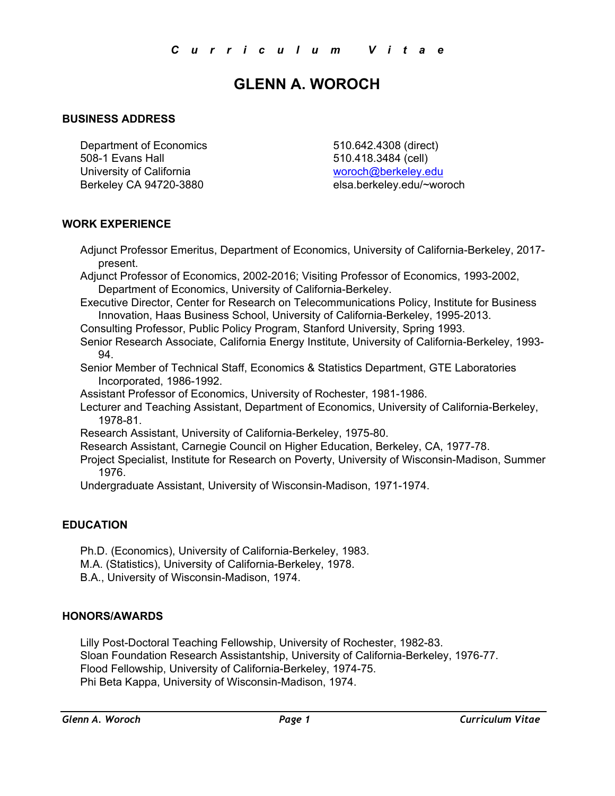# **GLENN A. WOROCH**

## **BUSINESS ADDRESS**

Department of Economics 510.642.4308 (direct) 508-1 Evans Hall 510.418.3484 (cell) University of California woroch@berkeley.edu Berkeley CA 94720-3880 elsa.berkeley.edu/~woroch

## **WORK EXPERIENCE**

Adjunct Professor Emeritus, Department of Economics, University of California-Berkeley, 2017 present.

Adjunct Professor of Economics, 2002-2016; Visiting Professor of Economics, 1993-2002, Department of Economics, University of California-Berkeley.

Executive Director, Center for Research on Telecommunications Policy, Institute for Business Innovation, Haas Business School, University of California-Berkeley, 1995-2013.

Consulting Professor, Public Policy Program, Stanford University, Spring 1993.

Senior Research Associate, California Energy Institute, University of California-Berkeley, 1993- 94.

Senior Member of Technical Staff, Economics & Statistics Department, GTE Laboratories Incorporated, 1986-1992.

Assistant Professor of Economics, University of Rochester, 1981-1986.

Lecturer and Teaching Assistant, Department of Economics, University of California-Berkeley, 1978-81.

Research Assistant, University of California-Berkeley, 1975-80.

Research Assistant, Carnegie Council on Higher Education, Berkeley, CA, 1977-78.

Project Specialist, Institute for Research on Poverty, University of Wisconsin-Madison, Summer 1976.

Undergraduate Assistant, University of Wisconsin-Madison, 1971-1974.

#### **EDUCATION**

Ph.D. (Economics), University of California-Berkeley, 1983.

M.A. (Statistics), University of California-Berkeley, 1978.

B.A., University of Wisconsin-Madison, 1974.

#### **HONORS/AWARDS**

Lilly Post-Doctoral Teaching Fellowship, University of Rochester, 1982-83. Sloan Foundation Research Assistantship, University of California-Berkeley, 1976-77. Flood Fellowship, University of California-Berkeley, 1974-75. Phi Beta Kappa, University of Wisconsin-Madison, 1974.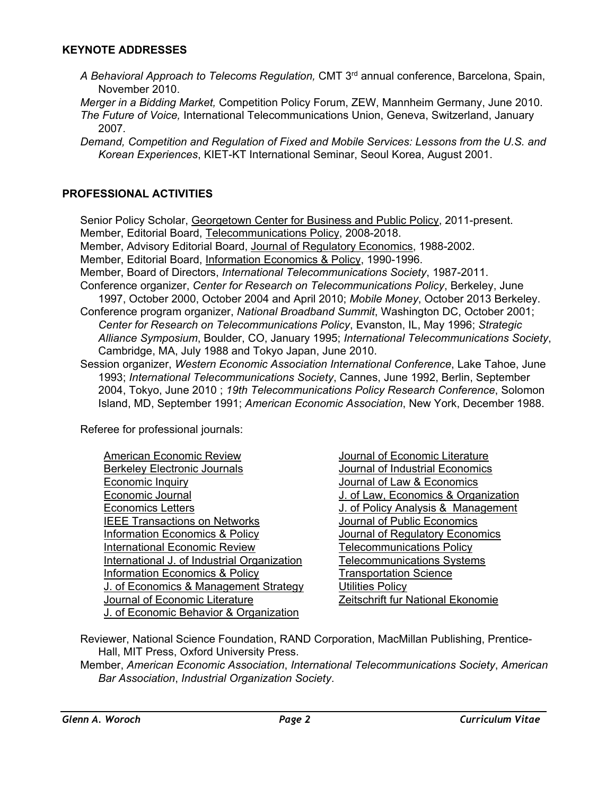#### **KEYNOTE ADDRESSES**

- *A Behavioral Approach to Telecoms Regulation,* CMT 3rd annual conference, Barcelona, Spain, November 2010.
- *Merger in a Bidding Market,* Competition Policy Forum, ZEW, Mannheim Germany, June 2010. *The Future of Voice,* International Telecommunications Union, Geneva, Switzerland, January 2007*.*
- *Demand, Competition and Regulation of Fixed and Mobile Services: Lessons from the U.S. and Korean Experiences*, KIET-KT International Seminar, Seoul Korea, August 2001.

## **PROFESSIONAL ACTIVITIES**

Senior Policy Scholar, Georgetown Center for Business and Public Policy, 2011-present. Member, Editorial Board, Telecommunications Policy, 2008-2018. Member, Advisory Editorial Board, Journal of Regulatory Economics, 1988-2002. Member, Editorial Board, Information Economics & Policy, 1990-1996. Member, Board of Directors, *International Telecommunications Society*, 1987-2011. Conference organizer, *Center for Research on Telecommunications Policy*, Berkeley, June 1997, October 2000, October 2004 and April 2010; *Mobile Money*, October 2013 Berkeley. Conference program organizer, *National Broadband Summit*, Washington DC, October 2001; *Center for Research on Telecommunications Policy*, Evanston, IL, May 1996; *Strategic Alliance Symposium*, Boulder, CO, January 1995; *International Telecommunications Society*, Cambridge, MA, July 1988 and Tokyo Japan, June 2010. Session organizer, *Western Economic Association International Conference*, Lake Tahoe, June

1993; *International Telecommunications Society*, Cannes, June 1992, Berlin, September 2004, Tokyo, June 2010 ; *19th Telecommunications Policy Research Conference*, Solomon Island, MD, September 1991; *American Economic Association*, New York, December 1988.

Referee for professional journals:

Journal of Economic Literature Journal of Industrial Economics Journal of Law & Economics J. of Law, Economics & Organization J. of Policy Analysis & Management Journal of Public Economics Journal of Regulatory Economics **Telecommunications Policy** Telecommunications Systems **Transportation Science Utilities Policy** Zeitschrift fur National Ekonomie

Reviewer, National Science Foundation, RAND Corporation, MacMillan Publishing, Prentice-Hall, MIT Press, Oxford University Press.

Member, *American Economic Association*, *International Telecommunications Society*, *American Bar Association*, *Industrial Organization Society*.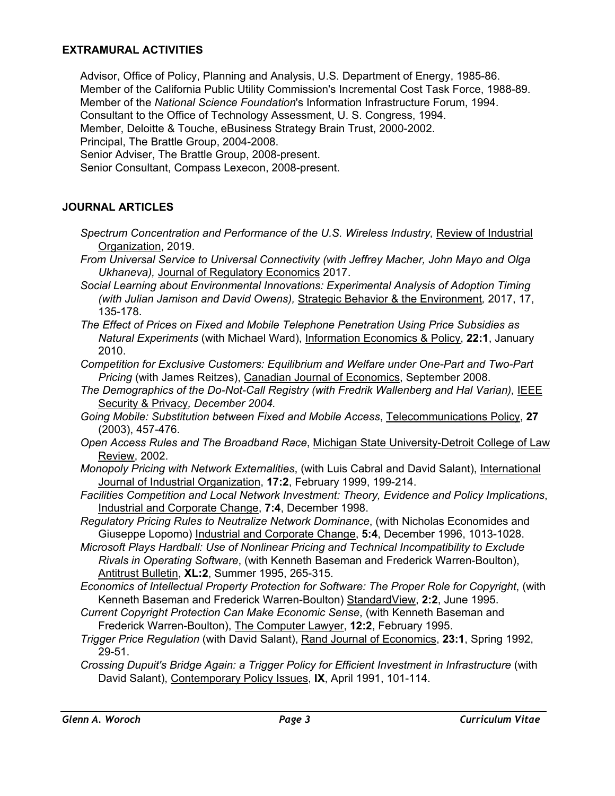## **EXTRAMURAL ACTIVITIES**

Advisor, Office of Policy, Planning and Analysis, U.S. Department of Energy, 1985-86. Member of the California Public Utility Commission's Incremental Cost Task Force, 1988-89. Member of the *National Science Foundation*'s Information Infrastructure Forum, 1994. Consultant to the Office of Technology Assessment, U. S. Congress, 1994. Member, Deloitte & Touche, eBusiness Strategy Brain Trust, 2000-2002. Principal, The Brattle Group, 2004-2008. Senior Adviser, The Brattle Group, 2008-present.

Senior Consultant, Compass Lexecon, 2008-present.

## **JOURNAL ARTICLES**

- *Spectrum Concentration and Performance of the U.S. Wireless Industry,* Review of Industrial Organization, 2019.
- *From Universal Service to Universal Connectivity (with Jeffrey Macher, John Mayo and Olga Ukhaneva),* Journal of Regulatory Economics 2017.
- *Social Learning about Environmental Innovations: Experimental Analysis of Adoption Timing (with Julian Jamison and David Owens),* Strategic Behavior & the Environment*,* 2017, 17, 135-178.
- *The Effect of Prices on Fixed and Mobile Telephone Penetration Using Price Subsidies as Natural Experiments* (with Michael Ward), Information Economics & Policy, **22:1**, January 2010.
- *Competition for Exclusive Customers: Equilibrium and Welfare under One-Part and Two-Part Pricing* (with James Reitzes), Canadian Journal of Economics, September 2008.
- *The Demographics of the Do-Not-Call Registry (with Fredrik Wallenberg and Hal Varian), IEEE* Security & Privacy*, December 2004.*
- *Going Mobile: Substitution between Fixed and Mobile Access*, Telecommunications Policy, **27** (2003), 457-476.
- *Open Access Rules and The Broadband Race*, Michigan State University-Detroit College of Law Review, 2002.
- *Monopoly Pricing with Network Externalities*, (with Luis Cabral and David Salant), International Journal of Industrial Organization, **17:2**, February 1999, 199-214.
- *Facilities Competition and Local Network Investment: Theory, Evidence and Policy Implications*, Industrial and Corporate Change, **7:4**, December 1998.
- *Regulatory Pricing Rules to Neutralize Network Dominance*, (with Nicholas Economides and Giuseppe Lopomo) Industrial and Corporate Change, **5:4**, December 1996, 1013-1028.
- *Microsoft Plays Hardball: Use of Nonlinear Pricing and Technical Incompatibility to Exclude Rivals in Operating Software*, (with Kenneth Baseman and Frederick Warren-Boulton), Antitrust Bulletin, **XL:2**, Summer 1995, 265-315.
- *Economics of Intellectual Property Protection for Software: The Proper Role for Copyright*, (with Kenneth Baseman and Frederick Warren-Boulton) StandardView, **2:2**, June 1995.
- *Current Copyright Protection Can Make Economic Sense*, (with Kenneth Baseman and Frederick Warren-Boulton), The Computer Lawyer, **12:2**, February 1995.
- *Trigger Price Regulation* (with David Salant), Rand Journal of Economics, **23:1**, Spring 1992, 29-51.
- *Crossing Dupuit's Bridge Again: a Trigger Policy for Efficient Investment in Infrastructure* (with David Salant), Contemporary Policy Issues, **IX**, April 1991, 101-114.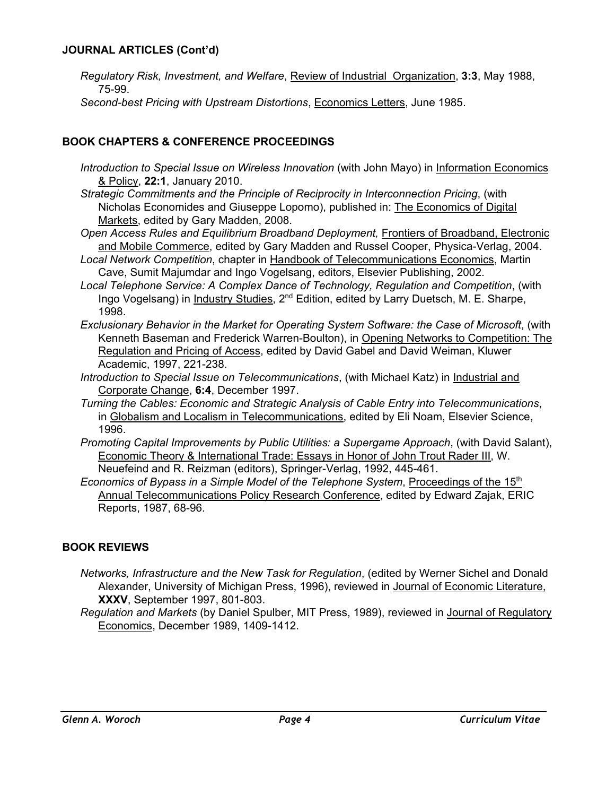## **JOURNAL ARTICLES (Cont'd)**

- *Regulatory Risk, Investment, and Welfare*, Review of Industrial Organization, **3:3**, May 1988, 75-99.
- *Second-best Pricing with Upstream Distortions*, Economics Letters, June 1985.

## **BOOK CHAPTERS & CONFERENCE PROCEEDINGS**

- *Introduction to Special Issue on Wireless Innovation (with John Mayo) in Information Economics* & Policy, **22:1**, January 2010.
- *Strategic Commitments and the Principle of Reciprocity in Interconnection Pricing*, (with Nicholas Economides and Giuseppe Lopomo), published in: The Economics of Digital Markets, edited by Gary Madden, 2008.
- *Open Access Rules and Equilibrium Broadband Deployment,* Frontiers of Broadband, Electronic and Mobile Commerce, edited by Gary Madden and Russel Cooper, Physica-Verlag, 2004.
- *Local Network Competition*, chapter in Handbook of Telecommunications Economics, Martin Cave, Sumit Majumdar and Ingo Vogelsang, editors, Elsevier Publishing, 2002.
- *Local Telephone Service: A Complex Dance of Technology, Regulation and Competition*, (with Ingo Vogelsang) in Industry Studies, 2<sup>nd</sup> Edition, edited by Larry Duetsch, M. E. Sharpe, 1998.
- *Exclusionary Behavior in the Market for Operating System Software: the Case of Microsoft*, (with Kenneth Baseman and Frederick Warren-Boulton), in Opening Networks to Competition: The Regulation and Pricing of Access, edited by David Gabel and David Weiman, Kluwer Academic, 1997, 221-238.
- *Introduction to Special Issue on Telecommunications*, (with Michael Katz) in Industrial and Corporate Change, **6:4**, December 1997.
- *Turning the Cables: Economic and Strategic Analysis of Cable Entry into Telecommunications*, in Globalism and Localism in Telecommunications, edited by Eli Noam, Elsevier Science, 1996.
- *Promoting Capital Improvements by Public Utilities: a Supergame Approach*, (with David Salant), Economic Theory & International Trade: Essays in Honor of John Trout Rader III, W. Neuefeind and R. Reizman (editors), Springer-Verlag, 1992, 445-461.
- *Economics of Bypass in a Simple Model of the Telephone System, Proceedings of the 15<sup>th</sup>* Annual Telecommunications Policy Research Conference, edited by Edward Zajak, ERIC Reports, 1987, 68-96.

## **BOOK REVIEWS**

- *Networks, Infrastructure and the New Task for Regulation*, (edited by Werner Sichel and Donald Alexander, University of Michigan Press, 1996), reviewed in Journal of Economic Literature, **XXXV**, September 1997, 801-803.
- *Regulation and Markets* (by Daniel Spulber, MIT Press, 1989), reviewed in Journal of Regulatory Economics, December 1989, 1409-1412.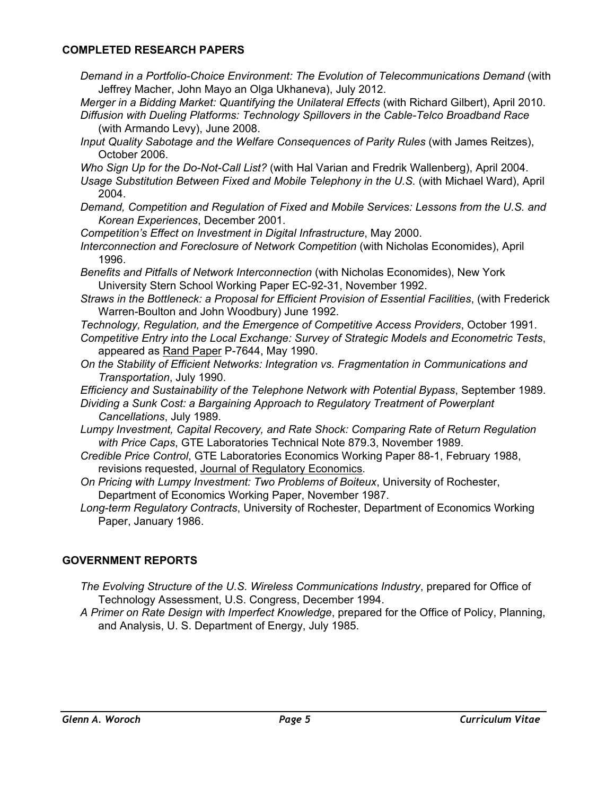## **COMPLETED RESEARCH PAPERS**

*Demand in a Portfolio-Choice Environment: The Evolution of Telecommunications Demand* (with Jeffrey Macher, John Mayo an Olga Ukhaneva), July 2012.

*Merger in a Bidding Market: Quantifying the Unilateral Effects* (with Richard Gilbert), April 2010. *Diffusion with Dueling Platforms: Technology Spillovers in the Cable-Telco Broadband Race* 

(with Armando Levy), June 2008.

*Input Quality Sabotage and the Welfare Consequences of Parity Rules* (with James Reitzes), October 2006.

*Who Sign Up for the Do-Not-Call List?* (with Hal Varian and Fredrik Wallenberg), April 2004.

- *Usage Substitution Between Fixed and Mobile Telephony in the U.S.* (with Michael Ward), April 2004.
- *Demand, Competition and Regulation of Fixed and Mobile Services: Lessons from the U.S. and Korean Experiences*, December 2001.
- *Competition's Effect on Investment in Digital Infrastructure*, May 2000.
- *Interconnection and Foreclosure of Network Competition* (with Nicholas Economides), April 1996.
- *Benefits and Pitfalls of Network Interconnection* (with Nicholas Economides), New York University Stern School Working Paper EC-92-31, November 1992.
- *Straws in the Bottleneck: a Proposal for Efficient Provision of Essential Facilities*, (with Frederick Warren-Boulton and John Woodbury) June 1992.
- *Technology, Regulation, and the Emergence of Competitive Access Providers*, October 1991.
- *Competitive Entry into the Local Exchange: Survey of Strategic Models and Econometric Tests*, appeared as Rand Paper P-7644, May 1990.
- *On the Stability of Efficient Networks: Integration vs. Fragmentation in Communications and Transportation*, July 1990.

*Efficiency and Sustainability of the Telephone Network with Potential Bypass*, September 1989.

- *Dividing a Sunk Cost: a Bargaining Approach to Regulatory Treatment of Powerplant Cancellations*, July 1989.
- *Lumpy Investment, Capital Recovery, and Rate Shock: Comparing Rate of Return Regulation with Price Caps*, GTE Laboratories Technical Note 879.3, November 1989.
- *Credible Price Control*, GTE Laboratories Economics Working Paper 88-1, February 1988, revisions requested, Journal of Regulatory Economics.
- *On Pricing with Lumpy Investment: Two Problems of Boiteux*, University of Rochester, Department of Economics Working Paper, November 1987.
- *Long-term Regulatory Contracts*, University of Rochester, Department of Economics Working Paper, January 1986.

## **GOVERNMENT REPORTS**

- *The Evolving Structure of the U.S. Wireless Communications Industry*, prepared for Office of Technology Assessment, U.S. Congress, December 1994.
- *A Primer on Rate Design with Imperfect Knowledge*, prepared for the Office of Policy, Planning, and Analysis, U. S. Department of Energy, July 1985.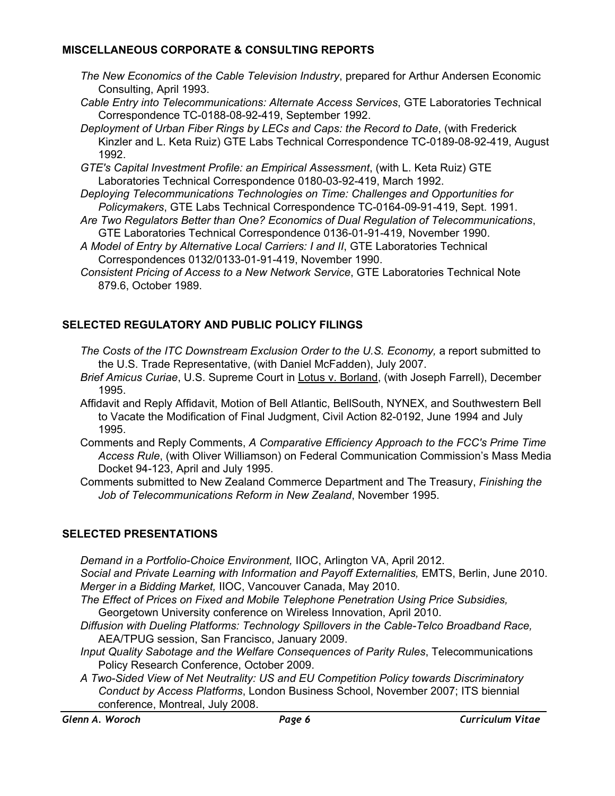## **MISCELLANEOUS CORPORATE & CONSULTING REPORTS**

- *The New Economics of the Cable Television Industry*, prepared for Arthur Andersen Economic Consulting, April 1993.
- *Cable Entry into Telecommunications: Alternate Access Services*, GTE Laboratories Technical Correspondence TC-0188-08-92-419, September 1992.
- *Deployment of Urban Fiber Rings by LECs and Caps: the Record to Date*, (with Frederick Kinzler and L. Keta Ruiz) GTE Labs Technical Correspondence TC-0189-08-92-419, August 1992.
- *GTE's Capital Investment Profile: an Empirical Assessment*, (with L. Keta Ruiz) GTE Laboratories Technical Correspondence 0180-03-92-419, March 1992.
- *Deploying Telecommunications Technologies on Time: Challenges and Opportunities for Policymakers*, GTE Labs Technical Correspondence TC-0164-09-91-419, Sept. 1991.
- *Are Two Regulators Better than One? Economics of Dual Regulation of Telecommunications*, GTE Laboratories Technical Correspondence 0136-01-91-419, November 1990.
- *A Model of Entry by Alternative Local Carriers: I and II*, GTE Laboratories Technical Correspondences 0132/0133-01-91-419, November 1990.
- *Consistent Pricing of Access to a New Network Service*, GTE Laboratories Technical Note 879.6, October 1989.

# **SELECTED REGULATORY AND PUBLIC POLICY FILINGS**

- The Costs of the ITC Downstream Exclusion Order to the U.S. Economy, a report submitted to the U.S. Trade Representative, (with Daniel McFadden), July 2007.
- *Brief Amicus Curiae*, U.S. Supreme Court in Lotus v. Borland, (with Joseph Farrell), December 1995.
- Affidavit and Reply Affidavit, Motion of Bell Atlantic, BellSouth, NYNEX, and Southwestern Bell to Vacate the Modification of Final Judgment, Civil Action 82-0192, June 1994 and July 1995.
- Comments and Reply Comments, *A Comparative Efficiency Approach to the FCC's Prime Time Access Rule*, (with Oliver Williamson) on Federal Communication Commission's Mass Media Docket 94-123, April and July 1995.
- Comments submitted to New Zealand Commerce Department and The Treasury, *Finishing the Job of Telecommunications Reform in New Zealand*, November 1995.

# **SELECTED PRESENTATIONS**

*Demand in a Portfolio-Choice Environment,* IIOC, Arlington VA, April 2012. *Social and Private Learning with Information and Payoff Externalities,* EMTS, Berlin, June 2010. *Merger in a Bidding Market,* IIOC, Vancouver Canada, May 2010.

*The Effect of Prices on Fixed and Mobile Telephone Penetration Using Price Subsidies,*  Georgetown University conference on Wireless Innovation, April 2010.

*Diffusion with Dueling Platforms: Technology Spillovers in the Cable-Telco Broadband Race,*  AEA/TPUG session, San Francisco, January 2009.

*Input Quality Sabotage and the Welfare Consequences of Parity Rules*, Telecommunications Policy Research Conference, October 2009.

*A Two-Sided View of Net Neutrality: US and EU Competition Policy towards Discriminatory Conduct by Access Platforms*, London Business School, November 2007; ITS biennial conference, Montreal, July 2008.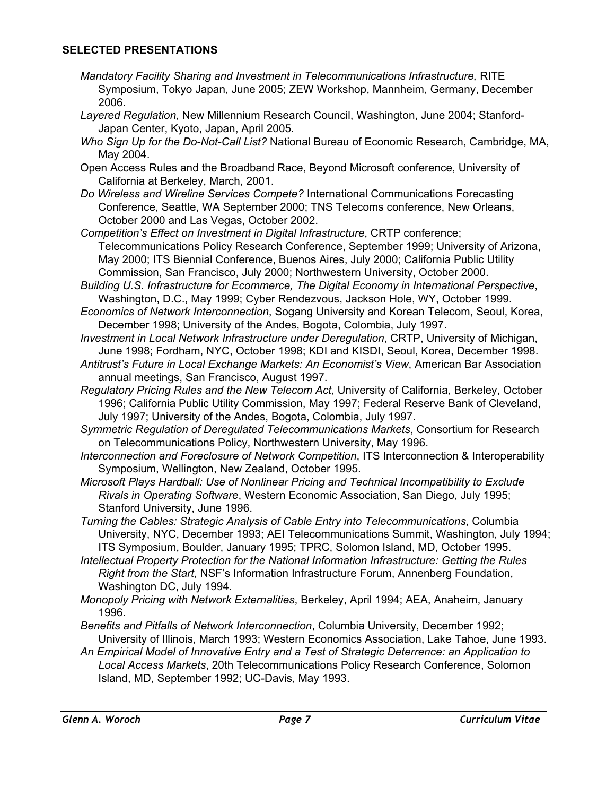## **SELECTED PRESENTATIONS**

- *Mandatory Facility Sharing and Investment in Telecommunications Infrastructure,* RITE Symposium, Tokyo Japan, June 2005; ZEW Workshop, Mannheim, Germany, December 2006.
- *Layered Regulation,* New Millennium Research Council, Washington, June 2004; Stanford-Japan Center, Kyoto, Japan, April 2005.
- *Who Sign Up for the Do-Not-Call List?* National Bureau of Economic Research, Cambridge, MA, May 2004.
- Open Access Rules and the Broadband Race, Beyond Microsoft conference, University of California at Berkeley, March, 2001.
- *Do Wireless and Wireline Services Compete?* International Communications Forecasting Conference, Seattle, WA September 2000; TNS Telecoms conference, New Orleans, October 2000 and Las Vegas, October 2002.
- *Competition's Effect on Investment in Digital Infrastructure*, CRTP conference; Telecommunications Policy Research Conference, September 1999; University of Arizona, May 2000; ITS Biennial Conference, Buenos Aires, July 2000; California Public Utility Commission, San Francisco, July 2000; Northwestern University, October 2000.
- *Building U.S. Infrastructure for Ecommerce, The Digital Economy in International Perspective*, Washington, D.C., May 1999; Cyber Rendezvous, Jackson Hole, WY, October 1999.
- *Economics of Network Interconnection*, Sogang University and Korean Telecom, Seoul, Korea, December 1998; University of the Andes, Bogota, Colombia, July 1997.
- *Investment in Local Network Infrastructure under Deregulation*, CRTP, University of Michigan, June 1998; Fordham, NYC, October 1998; KDI and KISDI, Seoul, Korea, December 1998.
- *Antitrust's Future in Local Exchange Markets: An Economist's View*, American Bar Association annual meetings, San Francisco, August 1997.
- *Regulatory Pricing Rules and the New Telecom Act*, University of California, Berkeley, October 1996; California Public Utility Commission, May 1997; Federal Reserve Bank of Cleveland, July 1997; University of the Andes, Bogota, Colombia, July 1997.
- *Symmetric Regulation of Deregulated Telecommunications Markets*, Consortium for Research on Telecommunications Policy, Northwestern University, May 1996.
- *Interconnection and Foreclosure of Network Competition*, ITS Interconnection & Interoperability Symposium, Wellington, New Zealand, October 1995.
- *Microsoft Plays Hardball: Use of Nonlinear Pricing and Technical Incompatibility to Exclude Rivals in Operating Software*, Western Economic Association, San Diego, July 1995; Stanford University, June 1996.
- *Turning the Cables: Strategic Analysis of Cable Entry into Telecommunications*, Columbia University, NYC, December 1993; AEI Telecommunications Summit, Washington, July 1994; ITS Symposium, Boulder, January 1995; TPRC, Solomon Island, MD, October 1995.
- *Intellectual Property Protection for the National Information Infrastructure: Getting the Rules Right from the Start*, NSF's Information Infrastructure Forum, Annenberg Foundation, Washington DC, July 1994.
- *Monopoly Pricing with Network Externalities*, Berkeley, April 1994; AEA, Anaheim, January 1996.
- *Benefits and Pitfalls of Network Interconnection*, Columbia University, December 1992; University of Illinois, March 1993; Western Economics Association, Lake Tahoe, June 1993.
- *An Empirical Model of Innovative Entry and a Test of Strategic Deterrence: an Application to Local Access Markets*, 20th Telecommunications Policy Research Conference, Solomon Island, MD, September 1992; UC-Davis, May 1993.